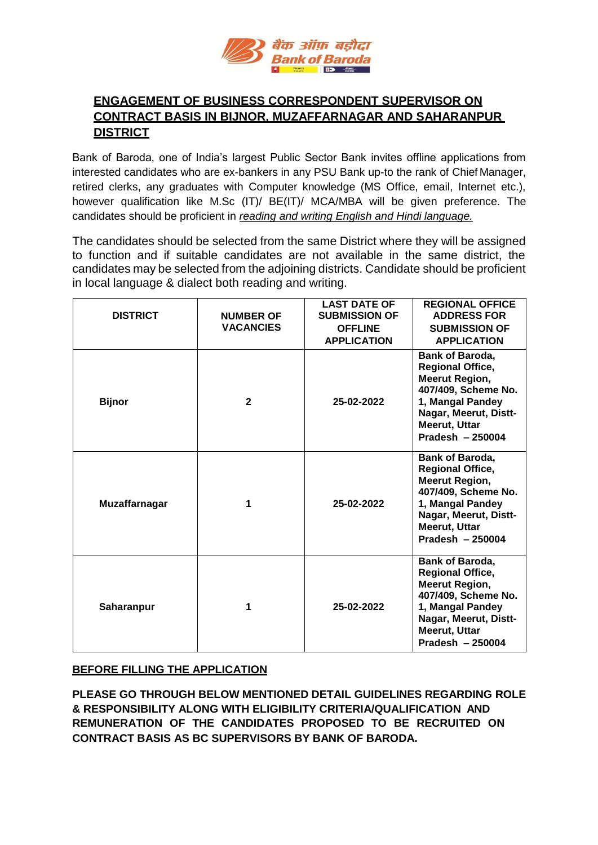

# **ENGAGEMENT OF BUSINESS CORRESPONDENT SUPERVISOR ON CONTRACT BASIS IN BIJNOR, MUZAFFARNAGAR AND SAHARANPUR DISTRICT**

Bank of Baroda, one of India's largest Public Sector Bank invites offline applications from interested candidates who are ex-bankers in any PSU Bank up-to the rank of Chief Manager, retired clerks, any graduates with Computer knowledge (MS Office, email, Internet etc.), however qualification like M.Sc (IT)/ BE(IT)/ MCA/MBA will be given preference. The candidates should be proficient in *reading and writing English and Hindi language.*

The candidates should be selected from the same District where they will be assigned to function and if suitable candidates are not available in the same district, the candidates may be selected from the adjoining districts. Candidate should be proficient in local language & dialect both reading and writing.

| <b>DISTRICT</b>   | <b>NUMBER OF</b><br><b>VACANCIES</b> | <b>LAST DATE OF</b><br><b>SUBMISSION OF</b><br><b>OFFLINE</b><br><b>APPLICATION</b> | <b>REGIONAL OFFICE</b><br><b>ADDRESS FOR</b><br><b>SUBMISSION OF</b><br><b>APPLICATION</b>                                                                                                 |
|-------------------|--------------------------------------|-------------------------------------------------------------------------------------|--------------------------------------------------------------------------------------------------------------------------------------------------------------------------------------------|
| <b>Bijnor</b>     | $\mathbf{2}$                         | 25-02-2022                                                                          | <b>Bank of Baroda,</b><br><b>Regional Office,</b><br><b>Meerut Region,</b><br>407/409, Scheme No.<br>1, Mangal Pandey<br>Nagar, Meerut, Distt-<br><b>Meerut, Uttar</b><br>Pradesh - 250004 |
| Muzaffarnagar     | 1                                    | 25-02-2022                                                                          | Bank of Baroda,<br><b>Regional Office,</b><br><b>Meerut Region,</b><br>407/409, Scheme No.<br>1, Mangal Pandey<br>Nagar, Meerut, Distt-<br><b>Meerut, Uttar</b><br>Pradesh $-250004$       |
| <b>Saharanpur</b> | 1                                    | 25-02-2022                                                                          | <b>Bank of Baroda,</b><br><b>Regional Office,</b><br><b>Meerut Region,</b><br>407/409, Scheme No.<br>1, Mangal Pandey<br>Nagar, Meerut, Distt-<br><b>Meerut, Uttar</b><br>Pradesh - 250004 |

### **BEFORE FILLING THE APPLICATION**

**PLEASE GO THROUGH BELOW MENTIONED DETAIL GUIDELINES REGARDING ROLE & RESPONSIBILITY ALONG WITH ELIGIBILITY CRITERIA/QUALIFICATION AND REMUNERATION OF THE CANDIDATES PROPOSED TO BE RECRUITED ON CONTRACT BASIS AS BC SUPERVISORS BY BANK OF BARODA.**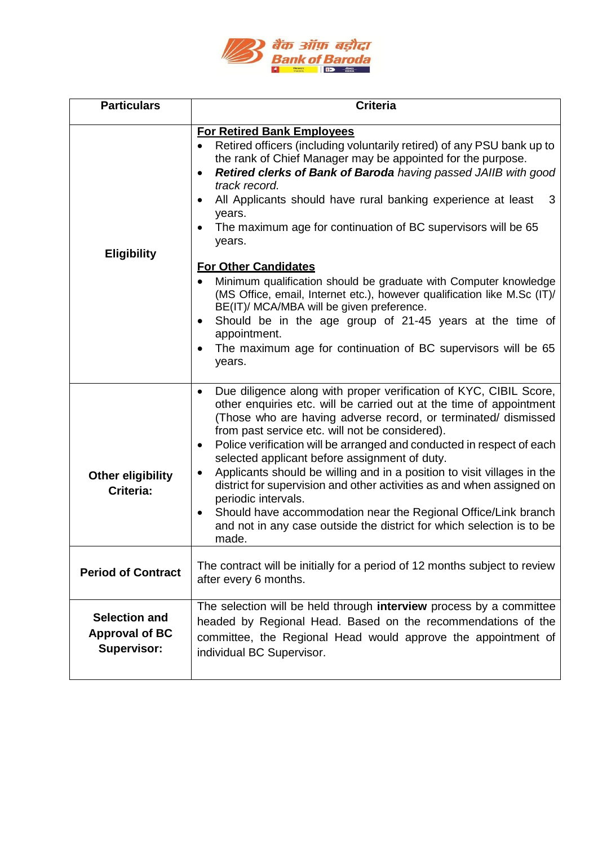

| <b>Particulars</b>                                                  | <b>Criteria</b>                                                                                                                                                                                                                                                                                                                                                                                                                                                                                                                                                                                                                                                                                                                                                                                                         |  |  |
|---------------------------------------------------------------------|-------------------------------------------------------------------------------------------------------------------------------------------------------------------------------------------------------------------------------------------------------------------------------------------------------------------------------------------------------------------------------------------------------------------------------------------------------------------------------------------------------------------------------------------------------------------------------------------------------------------------------------------------------------------------------------------------------------------------------------------------------------------------------------------------------------------------|--|--|
| <b>Eligibility</b>                                                  | <b>For Retired Bank Employees</b><br>Retired officers (including voluntarily retired) of any PSU bank up to<br>the rank of Chief Manager may be appointed for the purpose.<br>Retired clerks of Bank of Baroda having passed JAIIB with good<br>track record.<br>All Applicants should have rural banking experience at least<br>3<br>years.<br>The maximum age for continuation of BC supervisors will be 65<br>years.<br><b>For Other Candidates</b><br>Minimum qualification should be graduate with Computer knowledge<br>(MS Office, email, Internet etc.), however qualification like M.Sc (IT)/<br>BE(IT)/ MCA/MBA will be given preference.<br>Should be in the age group of 21-45 years at the time of<br>$\bullet$<br>appointment.<br>The maximum age for continuation of BC supervisors will be 65<br>years. |  |  |
| <b>Other eligibility</b><br>Criteria:                               | Due diligence along with proper verification of KYC, CIBIL Score,<br>other enquiries etc. will be carried out at the time of appointment<br>(Those who are having adverse record, or terminated/ dismissed<br>from past service etc. will not be considered).<br>Police verification will be arranged and conducted in respect of each<br>$\bullet$<br>selected applicant before assignment of duty.<br>Applicants should be willing and in a position to visit villages in the<br>$\bullet$<br>district for supervision and other activities as and when assigned on<br>periodic intervals.<br>Should have accommodation near the Regional Office/Link branch<br>٠<br>and not in any case outside the district for which selection is to be<br>made.                                                                   |  |  |
| <b>Period of Contract</b>                                           | The contract will be initially for a period of 12 months subject to review<br>after every 6 months.                                                                                                                                                                                                                                                                                                                                                                                                                                                                                                                                                                                                                                                                                                                     |  |  |
| <b>Selection and</b><br><b>Approval of BC</b><br><b>Supervisor:</b> | The selection will be held through interview process by a committee<br>headed by Regional Head. Based on the recommendations of the<br>committee, the Regional Head would approve the appointment of<br>individual BC Supervisor.                                                                                                                                                                                                                                                                                                                                                                                                                                                                                                                                                                                       |  |  |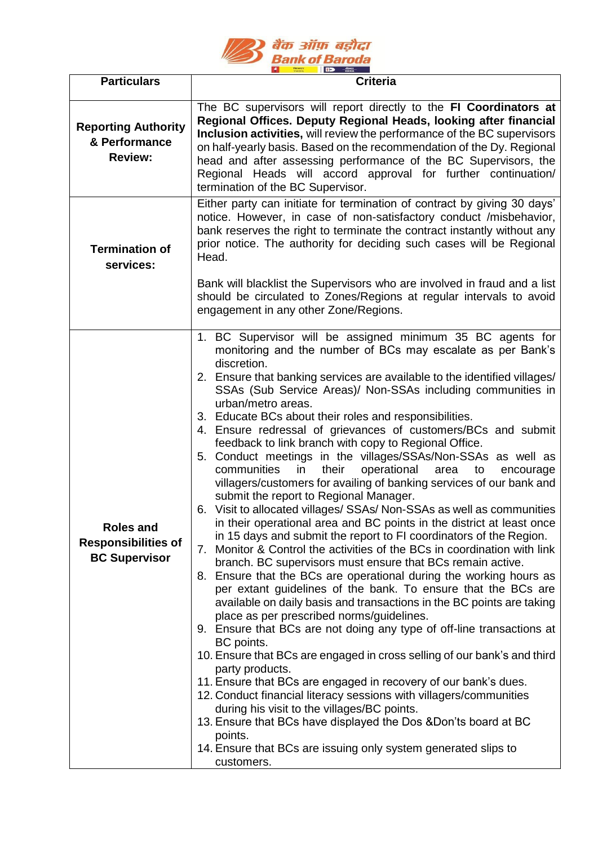

| <b>Particulars</b>                                              | <b>Criteria</b>                                                                                                                                                                                                                                                                                                                                                                                                                                                                                                                                                                                                                                                                                                                                                                                                                                                                                                                                                                                                                                                                                                                                                                                                                                                                                                                                                                                                                                                                                                                                                                                                                                                                                                                                                                                                                                                                                                                     |  |  |
|-----------------------------------------------------------------|-------------------------------------------------------------------------------------------------------------------------------------------------------------------------------------------------------------------------------------------------------------------------------------------------------------------------------------------------------------------------------------------------------------------------------------------------------------------------------------------------------------------------------------------------------------------------------------------------------------------------------------------------------------------------------------------------------------------------------------------------------------------------------------------------------------------------------------------------------------------------------------------------------------------------------------------------------------------------------------------------------------------------------------------------------------------------------------------------------------------------------------------------------------------------------------------------------------------------------------------------------------------------------------------------------------------------------------------------------------------------------------------------------------------------------------------------------------------------------------------------------------------------------------------------------------------------------------------------------------------------------------------------------------------------------------------------------------------------------------------------------------------------------------------------------------------------------------------------------------------------------------------------------------------------------------|--|--|
| <b>Reporting Authority</b><br>& Performance<br><b>Review:</b>   | The BC supervisors will report directly to the FI Coordinators at<br>Regional Offices. Deputy Regional Heads, looking after financial<br>Inclusion activities, will review the performance of the BC supervisors<br>on half-yearly basis. Based on the recommendation of the Dy. Regional<br>head and after assessing performance of the BC Supervisors, the<br>Regional Heads will accord approval for further continuation/<br>termination of the BC Supervisor.                                                                                                                                                                                                                                                                                                                                                                                                                                                                                                                                                                                                                                                                                                                                                                                                                                                                                                                                                                                                                                                                                                                                                                                                                                                                                                                                                                                                                                                                  |  |  |
| <b>Termination of</b><br>services:                              | Either party can initiate for termination of contract by giving 30 days'<br>notice. However, in case of non-satisfactory conduct /misbehavior,<br>bank reserves the right to terminate the contract instantly without any<br>prior notice. The authority for deciding such cases will be Regional<br>Head.<br>Bank will blacklist the Supervisors who are involved in fraud and a list<br>should be circulated to Zones/Regions at regular intervals to avoid<br>engagement in any other Zone/Regions.                                                                                                                                                                                                                                                                                                                                                                                                                                                                                                                                                                                                                                                                                                                                                                                                                                                                                                                                                                                                                                                                                                                                                                                                                                                                                                                                                                                                                              |  |  |
| Roles and<br><b>Responsibilities of</b><br><b>BC Supervisor</b> | 1. BC Supervisor will be assigned minimum 35 BC agents for<br>monitoring and the number of BCs may escalate as per Bank's<br>discretion.<br>2. Ensure that banking services are available to the identified villages/<br>SSAs (Sub Service Areas)/ Non-SSAs including communities in<br>urban/metro areas.<br>3. Educate BCs about their roles and responsibilities.<br>4. Ensure redressal of grievances of customers/BCs and submit<br>feedback to link branch with copy to Regional Office.<br>5. Conduct meetings in the villages/SSAs/Non-SSAs as well as<br>their<br>operational<br>communities<br>in<br>area<br>to<br>encourage<br>villagers/customers for availing of banking services of our bank and<br>submit the report to Regional Manager.<br>6. Visit to allocated villages/ SSAs/ Non-SSAs as well as communities<br>in their operational area and BC points in the district at least once<br>in 15 days and submit the report to FI coordinators of the Region.<br>7. Monitor & Control the activities of the BCs in coordination with link<br>branch. BC supervisors must ensure that BCs remain active.<br>8. Ensure that the BCs are operational during the working hours as<br>per extant guidelines of the bank. To ensure that the BCs are<br>available on daily basis and transactions in the BC points are taking<br>place as per prescribed norms/guidelines.<br>9. Ensure that BCs are not doing any type of off-line transactions at<br>BC points.<br>10. Ensure that BCs are engaged in cross selling of our bank's and third<br>party products.<br>11. Ensure that BCs are engaged in recovery of our bank's dues.<br>12. Conduct financial literacy sessions with villagers/communities<br>during his visit to the villages/BC points.<br>13. Ensure that BCs have displayed the Dos & Don'ts board at BC<br>points.<br>14. Ensure that BCs are issuing only system generated slips to<br>customers. |  |  |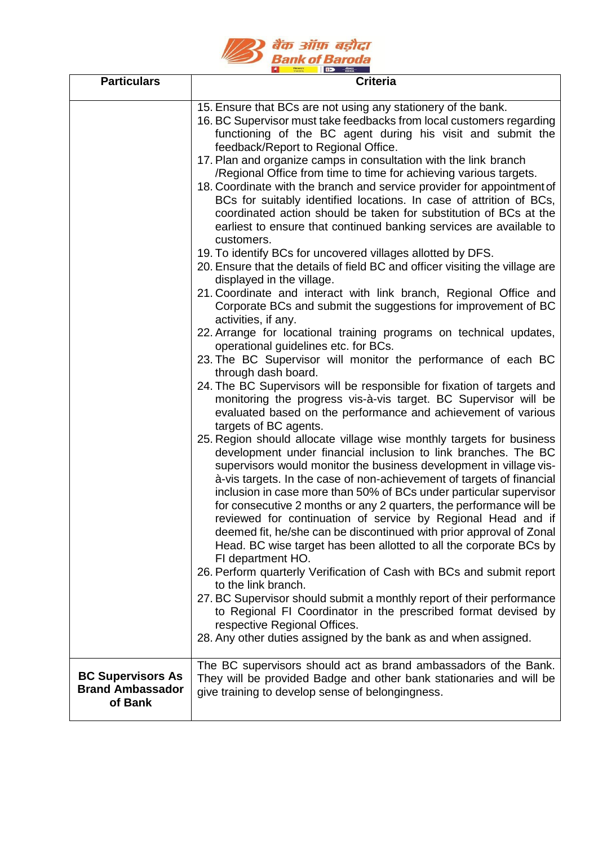

| <b>Particulars</b>                                             | <b>Criteria</b>                                                                                                                                                                                                                                                                                                                                                                                                                                                                                                                                                                                                                                                      |
|----------------------------------------------------------------|----------------------------------------------------------------------------------------------------------------------------------------------------------------------------------------------------------------------------------------------------------------------------------------------------------------------------------------------------------------------------------------------------------------------------------------------------------------------------------------------------------------------------------------------------------------------------------------------------------------------------------------------------------------------|
|                                                                | 15. Ensure that BCs are not using any stationery of the bank.<br>16. BC Supervisor must take feedbacks from local customers regarding<br>functioning of the BC agent during his visit and submit the<br>feedback/Report to Regional Office.<br>17. Plan and organize camps in consultation with the link branch<br>/Regional Office from time to time for achieving various targets.<br>18. Coordinate with the branch and service provider for appointment of                                                                                                                                                                                                       |
|                                                                | BCs for suitably identified locations. In case of attrition of BCs,<br>coordinated action should be taken for substitution of BCs at the<br>earliest to ensure that continued banking services are available to<br>customers.                                                                                                                                                                                                                                                                                                                                                                                                                                        |
|                                                                | 19. To identify BCs for uncovered villages allotted by DFS.<br>20. Ensure that the details of field BC and officer visiting the village are                                                                                                                                                                                                                                                                                                                                                                                                                                                                                                                          |
|                                                                | displayed in the village.<br>21. Coordinate and interact with link branch, Regional Office and<br>Corporate BCs and submit the suggestions for improvement of BC<br>activities, if any.                                                                                                                                                                                                                                                                                                                                                                                                                                                                              |
|                                                                | 22. Arrange for locational training programs on technical updates,<br>operational guidelines etc. for BCs.                                                                                                                                                                                                                                                                                                                                                                                                                                                                                                                                                           |
|                                                                | 23. The BC Supervisor will monitor the performance of each BC<br>through dash board.                                                                                                                                                                                                                                                                                                                                                                                                                                                                                                                                                                                 |
|                                                                | 24. The BC Supervisors will be responsible for fixation of targets and<br>monitoring the progress vis-à-vis target. BC Supervisor will be<br>evaluated based on the performance and achievement of various<br>targets of BC agents.                                                                                                                                                                                                                                                                                                                                                                                                                                  |
|                                                                | 25. Region should allocate village wise monthly targets for business<br>development under financial inclusion to link branches. The BC<br>supervisors would monitor the business development in village vis-<br>à-vis targets. In the case of non-achievement of targets of financial<br>inclusion in case more than 50% of BCs under particular supervisor<br>for consecutive 2 months or any 2 quarters, the performance will be<br>reviewed for continuation of service by Regional Head and if<br>deemed fit, he/she can be discontinued with prior approval of Zonal<br>Head. BC wise target has been allotted to all the corporate BCs by<br>FI department HO. |
|                                                                | 26. Perform quarterly Verification of Cash with BCs and submit report<br>to the link branch.                                                                                                                                                                                                                                                                                                                                                                                                                                                                                                                                                                         |
|                                                                | 27. BC Supervisor should submit a monthly report of their performance<br>to Regional FI Coordinator in the prescribed format devised by<br>respective Regional Offices.<br>28. Any other duties assigned by the bank as and when assigned.                                                                                                                                                                                                                                                                                                                                                                                                                           |
| <b>BC Supervisors As</b><br><b>Brand Ambassador</b><br>of Bank | The BC supervisors should act as brand ambassadors of the Bank.<br>They will be provided Badge and other bank stationaries and will be<br>give training to develop sense of belongingness.                                                                                                                                                                                                                                                                                                                                                                                                                                                                           |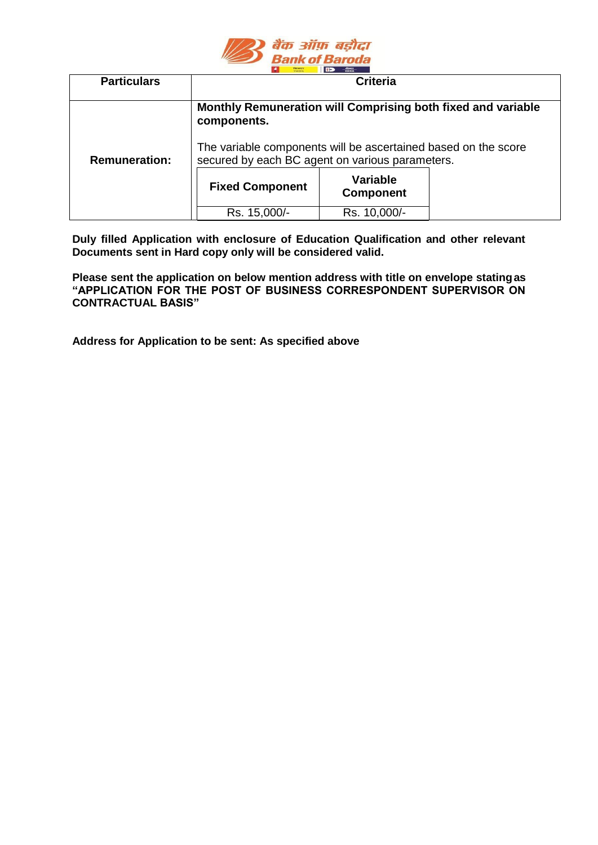

| <b>Particulars</b>   | <b>Criteria</b>                                                                                                                                                                                  |                              |  |  |
|----------------------|--------------------------------------------------------------------------------------------------------------------------------------------------------------------------------------------------|------------------------------|--|--|
|                      | Monthly Remuneration will Comprising both fixed and variable<br>components.<br>The variable components will be ascertained based on the score<br>secured by each BC agent on various parameters. |                              |  |  |
| <b>Remuneration:</b> |                                                                                                                                                                                                  |                              |  |  |
|                      | <b>Fixed Component</b>                                                                                                                                                                           | Variable<br><b>Component</b> |  |  |
|                      | Rs. 15,000/-                                                                                                                                                                                     | Rs. 10,000/-                 |  |  |

**Duly filled Application with enclosure of Education Qualification and other relevant Documents sent in Hard copy only will be considered valid.**

**Please sent the application on below mention address with title on envelope statingas "APPLICATION FOR THE POST OF BUSINESS CORRESPONDENT SUPERVISOR ON CONTRACTUAL BASIS"**

**Address for Application to be sent: As specified above**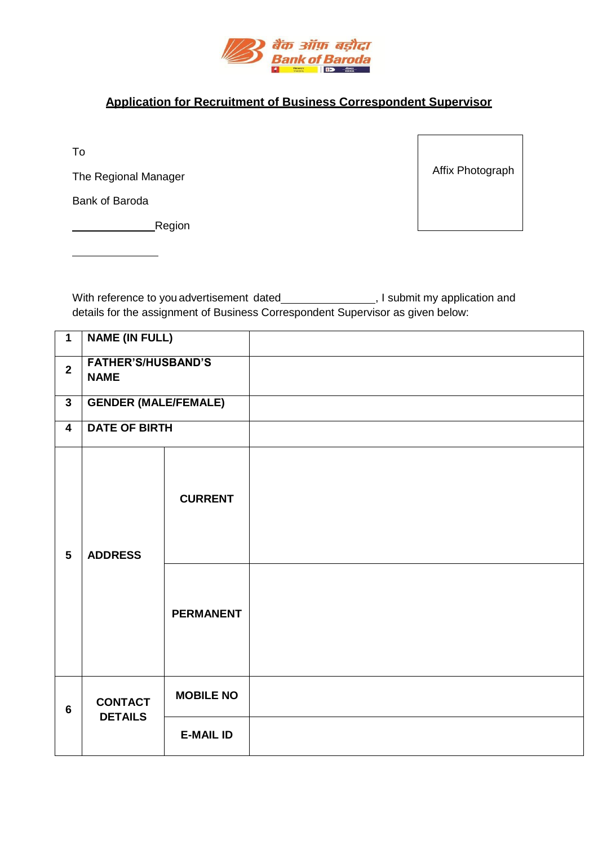

## **Application for Recruitment of Business Correspondent Supervisor**

To

The Regional Manager

Bank of Baroda

**Region** 

Affix Photograph

With reference to you advertisement dated \_\_\_\_\_\_\_\_\_\_\_\_\_\_\_\_, I submit my application and details for the assignment of Business Correspondent Supervisor as given below:

| $\mathbf{1}$            | <b>NAME (IN FULL)</b>                    |                  |  |
|-------------------------|------------------------------------------|------------------|--|
| $\overline{2}$          | <b>FATHER'S/HUSBAND'S</b><br><b>NAME</b> |                  |  |
| $\mathbf{3}$            | <b>GENDER (MALE/FEMALE)</b>              |                  |  |
| $\overline{\mathbf{4}}$ | <b>DATE OF BIRTH</b>                     |                  |  |
| $5\phantom{.0}$         | <b>ADDRESS</b>                           | <b>CURRENT</b>   |  |
|                         |                                          | <b>PERMANENT</b> |  |
| 6                       | <b>CONTACT</b><br><b>DETAILS</b>         | <b>MOBILE NO</b> |  |
|                         |                                          | <b>E-MAIL ID</b> |  |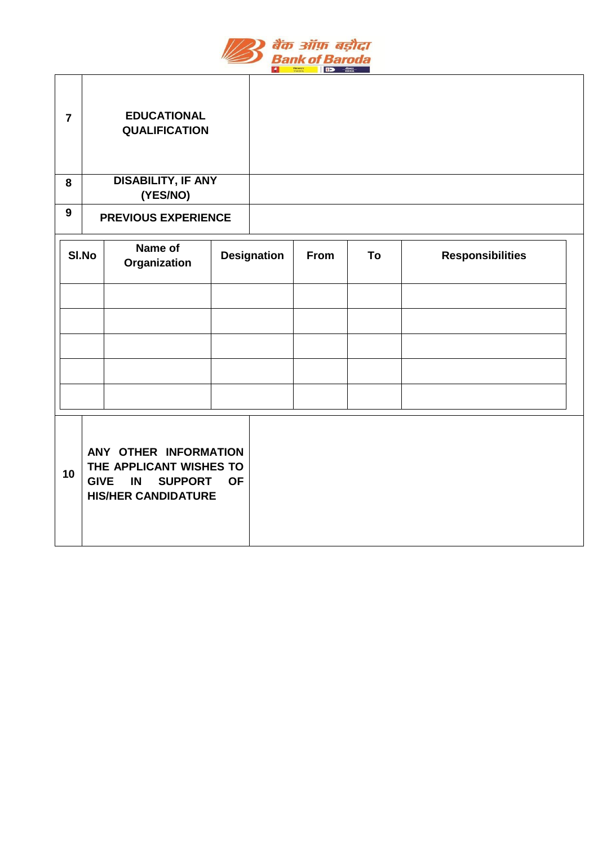

٦

 $\Gamma$ 

┱

| $\overline{7}$ |                                  | <b>EDUCATIONAL</b><br><b>QUALIFICATION</b>                                                                            |           |                    |      |    |                         |  |
|----------------|----------------------------------|-----------------------------------------------------------------------------------------------------------------------|-----------|--------------------|------|----|-------------------------|--|
| 8              |                                  | <b>DISABILITY, IF ANY</b><br>(YES/NO)                                                                                 |           |                    |      |    |                         |  |
| 9              | <b>PREVIOUS EXPERIENCE</b>       |                                                                                                                       |           |                    |      |    |                         |  |
|                | Name of<br>SI.No<br>Organization |                                                                                                                       |           | <b>Designation</b> | From | To | <b>Responsibilities</b> |  |
|                |                                  |                                                                                                                       |           |                    |      |    |                         |  |
|                |                                  |                                                                                                                       |           |                    |      |    |                         |  |
|                |                                  |                                                                                                                       |           |                    |      |    |                         |  |
|                |                                  |                                                                                                                       |           |                    |      |    |                         |  |
| 10             |                                  | ANY OTHER INFORMATION<br>THE APPLICANT WISHES TO<br><b>GIVE</b><br>IN<br><b>SUPPORT</b><br><b>HIS/HER CANDIDATURE</b> | <b>OF</b> |                    |      |    |                         |  |